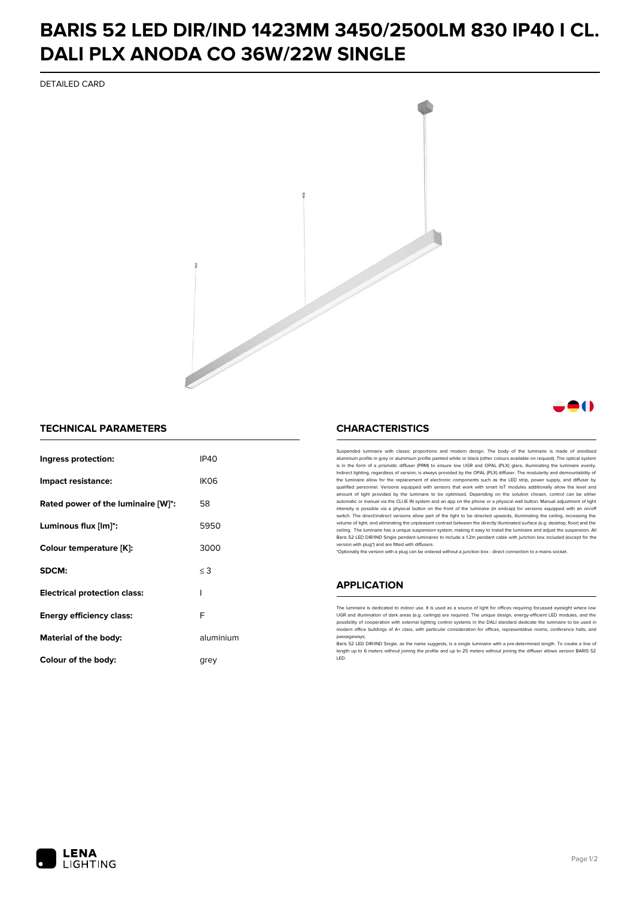## **BARIS 52 LED DIR/IND 1423MM 3450/2500LM 830 IP40 I CL. DALI PLX ANODA CO 36W/22W SINGLE**

DETAILED CARD



## **TECHNICAL PARAMETERS**

| Ingress protection:                 | IP40             |
|-------------------------------------|------------------|
| Impact resistance:                  | IK <sub>06</sub> |
| Rated power of the luminaire [W]*:  | 58               |
| Luminous flux [lm]*:                | 5950             |
| Colour temperature [K]:             | 3000             |
| SDCM:                               | $\leq$ 3         |
| <b>Electrical protection class:</b> | ı                |
| Energy efficiency class:            | F                |
| Material of the body:               | aluminium        |
| Colour of the body:                 | arev             |

## **CHARACTERISTICS**

Suspended luminaire with classic proportions and modern design. The body of the luminaire is made of an aluminium profile in grey or aluminium profile painted white or black (other colours available on request). The optical system is in the form of a prismatic diffuser (PRM) to ensure low UGR and OPAL (PLX) glare, illuminating the luminaire evenly.<br>Indirect lighting, regardless of version, is always provided by the OPAL (PLX) diffuser. The modularit the luminaire allow for the replacement of electronic components such as the LED strip, power supply, and diffuser by qualified personnel. Versions equipped with sensors that work with smart IoT modules additionally allow the level and amount of light provided by the luminaire to be optimised. Depending on the solution chosen, control can be either automatic or manual via the CLUE IN system and an app on the phone or a physical wall button. Manual adjustment of light<br>intensity is possible via a physical button on the front of the luminaire (in endcap) for versions eq switch. The direct/indirect versions allow part of the light to be directed upwards, illuminating the ceiling, increasing the volume of light, and eliminating the unpleasant contrast between the directly illuminated surface (e.g. desktop, floor) and the ceiling. The luminaire has a unique suspension system, making it easy to install the luminaire and adjust the suspension. All Baris 52 LED DIR/IND Single pendant Iuminaires to include a 1.2m pendant cable with junction box included (except for the<br>version with plug\*) and are fitted with diffusers.

\*Optionally the version with a plug can be ordered without a junction box - direct connection to a mains socket.

#### **APPLICATION**

The luminaire is dedicated to indoor use. It is used as a source of light for offices requiring focussed eyesight where low UGR and illumination of dark areas (e.g. ceilings) are required. The unique design, energy-efficient LED modules, and the<br>possibility of cooperation with external lighting control systems in the DALI standard dedicate the modern office buildings of A+ class, with particular consideration for offices, representative rooms, conference halls, and passagew

.<br>Baris 52 LED DIR/IND Single, as the name suggests, is a single luminaire with a pre-determined length. To create a line of length up to 6 meters without joining the profile and up to 25 meters without joining the diffuser allows version BARIS 52 LED.



A ( )